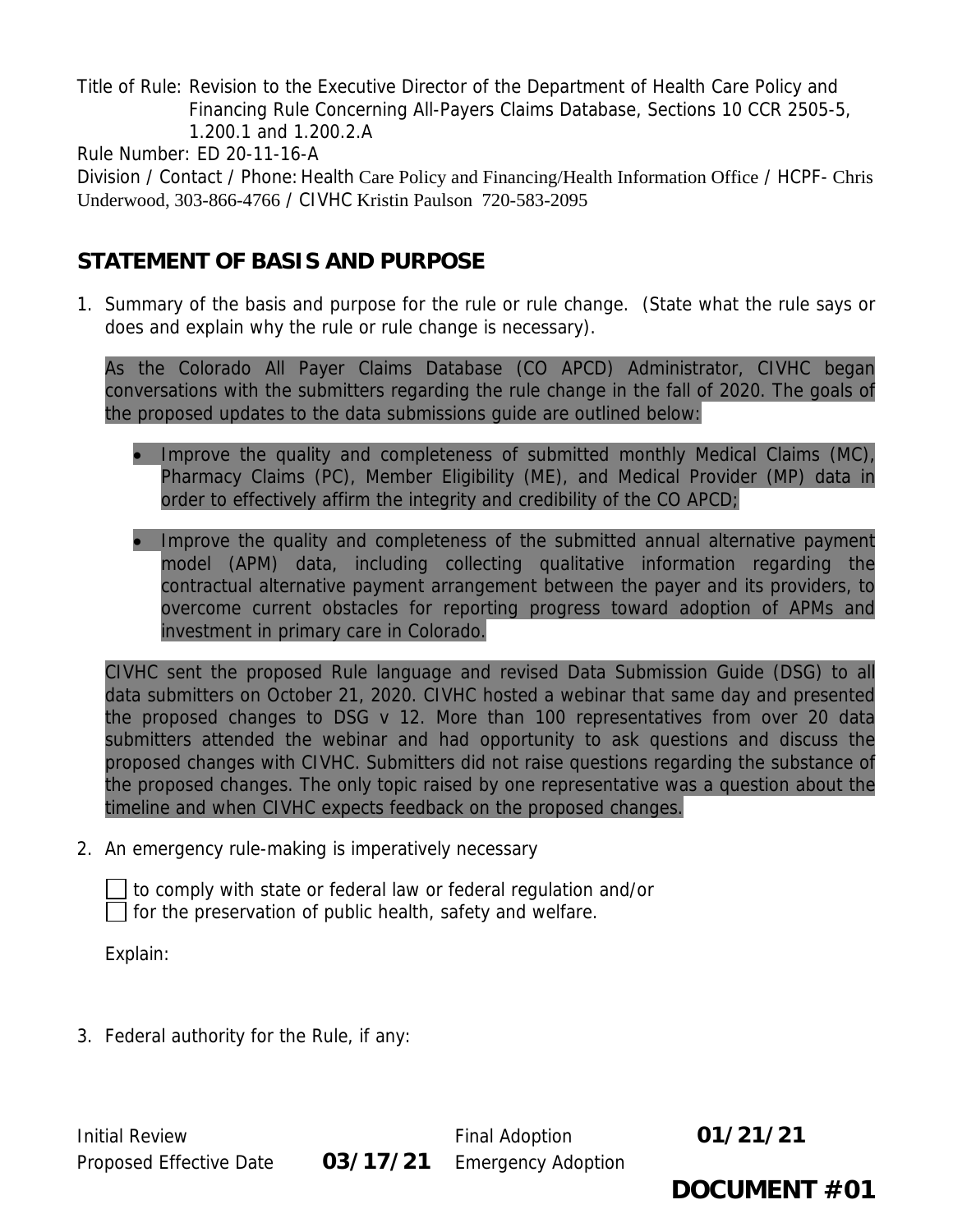Title of Rule: Revision to the Executive Director of the Department of Health Care Policy and Financing Rule Concerning All-Payers Claims Database, Sections 10 CCR 2505-5, 1.200.1 and 1.200.2.A

Rule Number: ED 20-11-16-A

Division / Contact / Phone: Health Care Policy and Financing/Health Information Office / HCPF- Chris Underwood, 303-866-4766 / CIVHC Kristin Paulson 720-583-2095

# **STATEMENT OF BASIS AND PURPOSE**

1. Summary of the basis and purpose for the rule or rule change. (State what the rule says or does and explain why the rule or rule change is necessary).

As the Colorado All Payer Claims Database (CO APCD) Administrator, CIVHC began conversations with the submitters regarding the rule change in the fall of 2020. The goals of the proposed updates to the data submissions guide are outlined below:

- Improve the quality and completeness of submitted monthly Medical Claims (MC), Pharmacy Claims (PC), Member Eligibility (ME), and Medical Provider (MP) data in order to effectively affirm the integrity and credibility of the CO APCD;
- Improve the quality and completeness of the submitted annual alternative payment model (APM) data, including collecting qualitative information regarding the contractual alternative payment arrangement between the payer and its providers, to overcome current obstacles for reporting progress toward adoption of APMs and investment in primary care in Colorado.

CIVHC sent the proposed Rule language and revised Data Submission Guide (DSG) to all data submitters on October 21, 2020. CIVHC hosted a webinar that same day and presented the proposed changes to DSG v 12. More than 100 representatives from over 20 data submitters attended the webinar and had opportunity to ask questions and discuss the proposed changes with CIVHC. Submitters did not raise questions regarding the substance of the proposed changes. The only topic raised by one representative was a question about the timeline and when CIVHC expects feedback on the proposed changes.

2. An emergency rule-making is imperatively necessary

 to comply with state or federal law or federal regulation and/or  $\vert \ \vert$  for the preservation of public health, safety and welfare.

Explain:

3. Federal authority for the Rule, if any:

Initial Review **Final Adoption 01/21/21** Proposed Effective Date **03/17/21** Emergency Adoption

**DOCUMENT #01**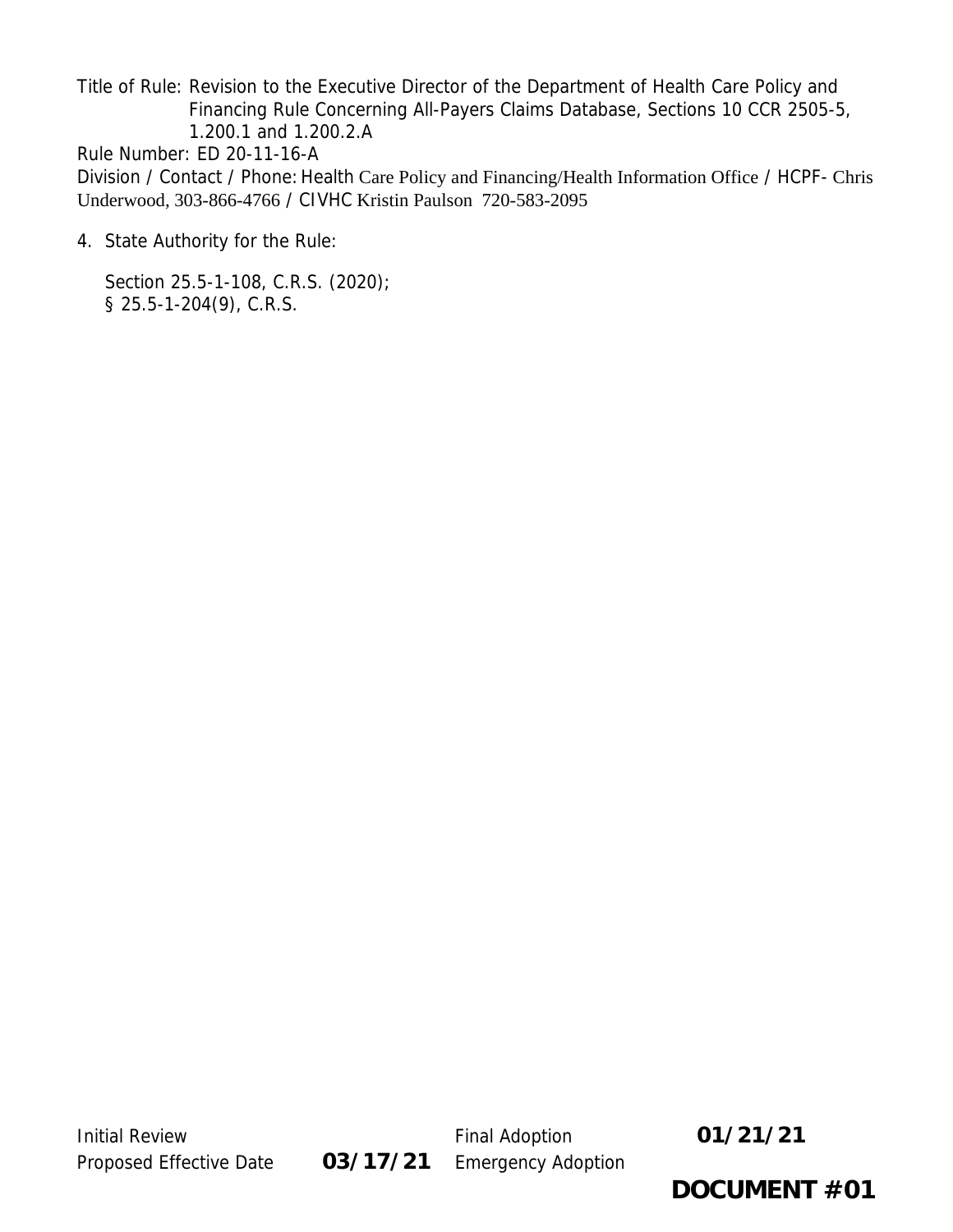Title of Rule: Revision to the Executive Director of the Department of Health Care Policy and Financing Rule Concerning All-Payers Claims Database, Sections 10 CCR 2505-5, 1.200.1 and 1.200.2.A Rule Number: ED 20-11-16-A Division / Contact / Phone: Health Care Policy and Financing/Health Information Office / HCPF- Chris Underwood, 303-866-4766 / CIVHC Kristin Paulson 720-583-2095

4. State Authority for the Rule:

Section 25.5-1-108, C.R.S. (2020); § 25.5-1-204(9), C.R.S.



**DOCUMENT #01**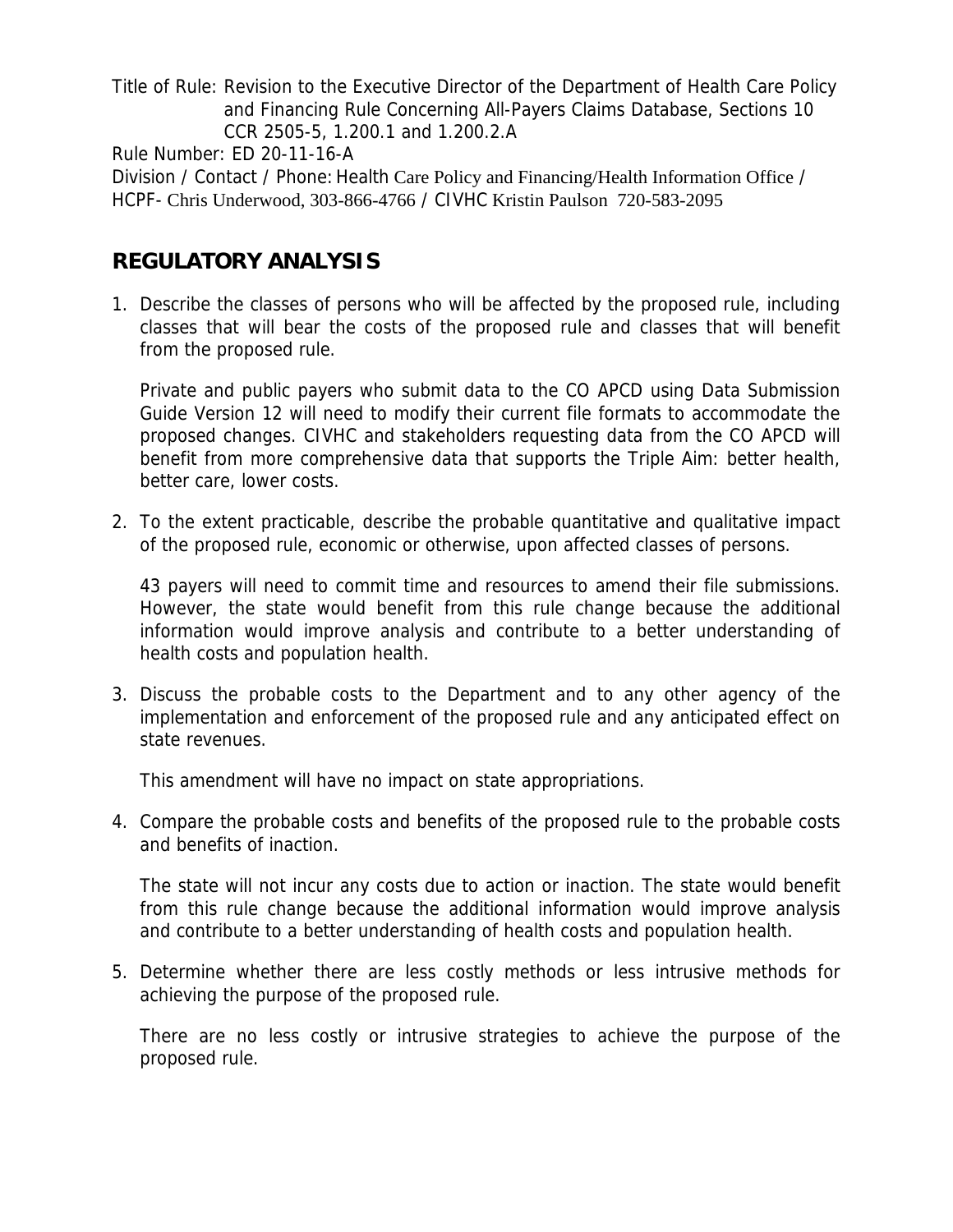Title of Rule: Revision to the Executive Director of the Department of Health Care Policy and Financing Rule Concerning All-Payers Claims Database, Sections 10 CCR 2505-5, 1.200.1 and 1.200.2.A

Rule Number: ED 20-11-16-A

Division / Contact / Phone: Health Care Policy and Financing/Health Information Office / HCPF- Chris Underwood, 303-866-4766 / CIVHC Kristin Paulson 720-583-2095

# **REGULATORY ANALYSIS**

1. Describe the classes of persons who will be affected by the proposed rule, including classes that will bear the costs of the proposed rule and classes that will benefit from the proposed rule.

Private and public payers who submit data to the CO APCD using Data Submission Guide Version 12 will need to modify their current file formats to accommodate the proposed changes. CIVHC and stakeholders requesting data from the CO APCD will benefit from more comprehensive data that supports the Triple Aim: better health, better care, lower costs.

2. To the extent practicable, describe the probable quantitative and qualitative impact of the proposed rule, economic or otherwise, upon affected classes of persons.

43 payers will need to commit time and resources to amend their file submissions. However, the state would benefit from this rule change because the additional information would improve analysis and contribute to a better understanding of health costs and population health.

3. Discuss the probable costs to the Department and to any other agency of the implementation and enforcement of the proposed rule and any anticipated effect on state revenues.

This amendment will have no impact on state appropriations.

4. Compare the probable costs and benefits of the proposed rule to the probable costs and benefits of inaction.

The state will not incur any costs due to action or inaction. The state would benefit from this rule change because the additional information would improve analysis and contribute to a better understanding of health costs and population health.

5. Determine whether there are less costly methods or less intrusive methods for achieving the purpose of the proposed rule.

There are no less costly or intrusive strategies to achieve the purpose of the proposed rule.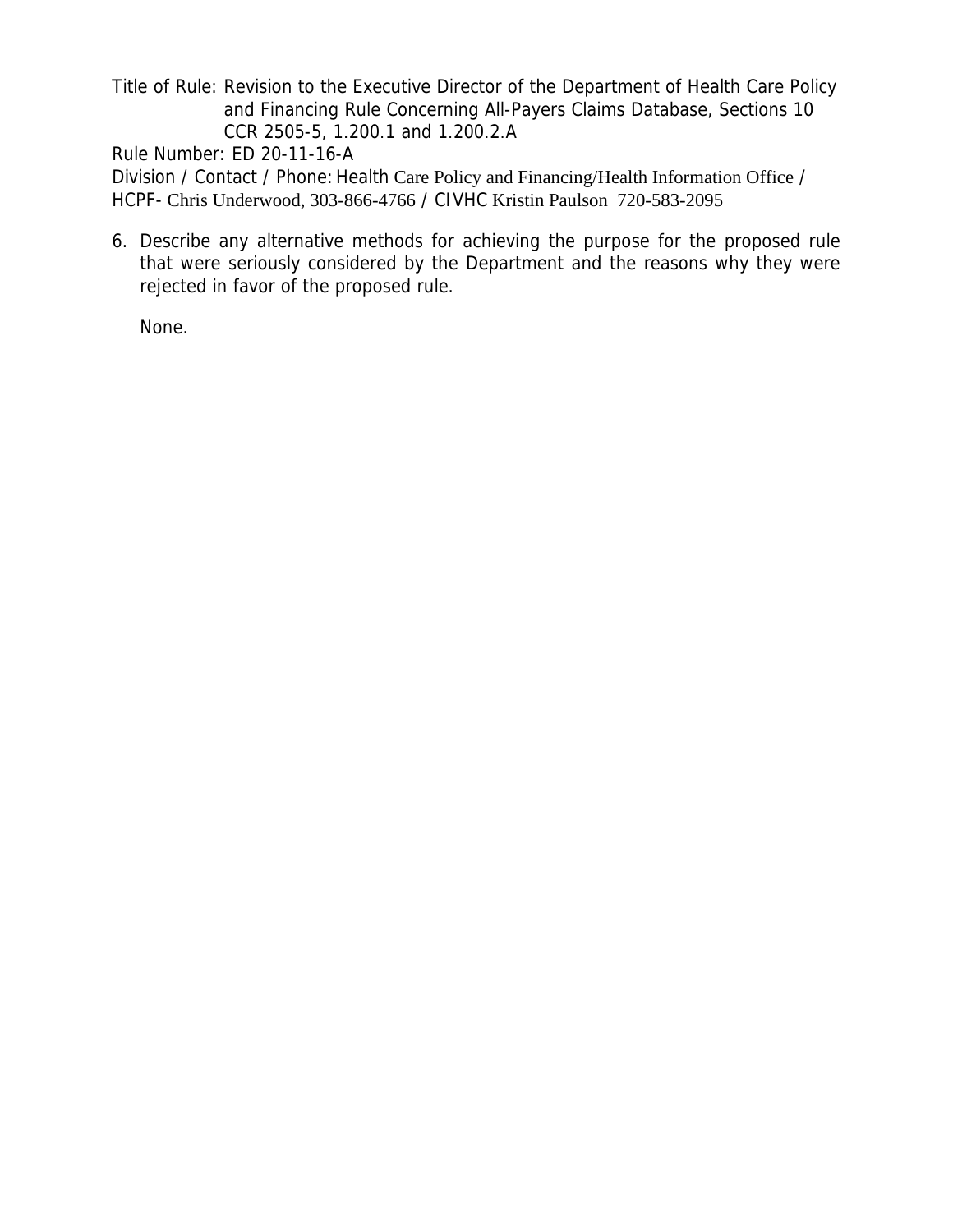Title of Rule: Revision to the Executive Director of the Department of Health Care Policy and Financing Rule Concerning All-Payers Claims Database, Sections 10 CCR 2505-5, 1.200.1 and 1.200.2.A

Rule Number: ED 20-11-16-A

Division / Contact / Phone: Health Care Policy and Financing/Health Information Office / HCPF- Chris Underwood, 303-866-4766 / CIVHC Kristin Paulson 720-583-2095

6. Describe any alternative methods for achieving the purpose for the proposed rule that were seriously considered by the Department and the reasons why they were rejected in favor of the proposed rule.

None.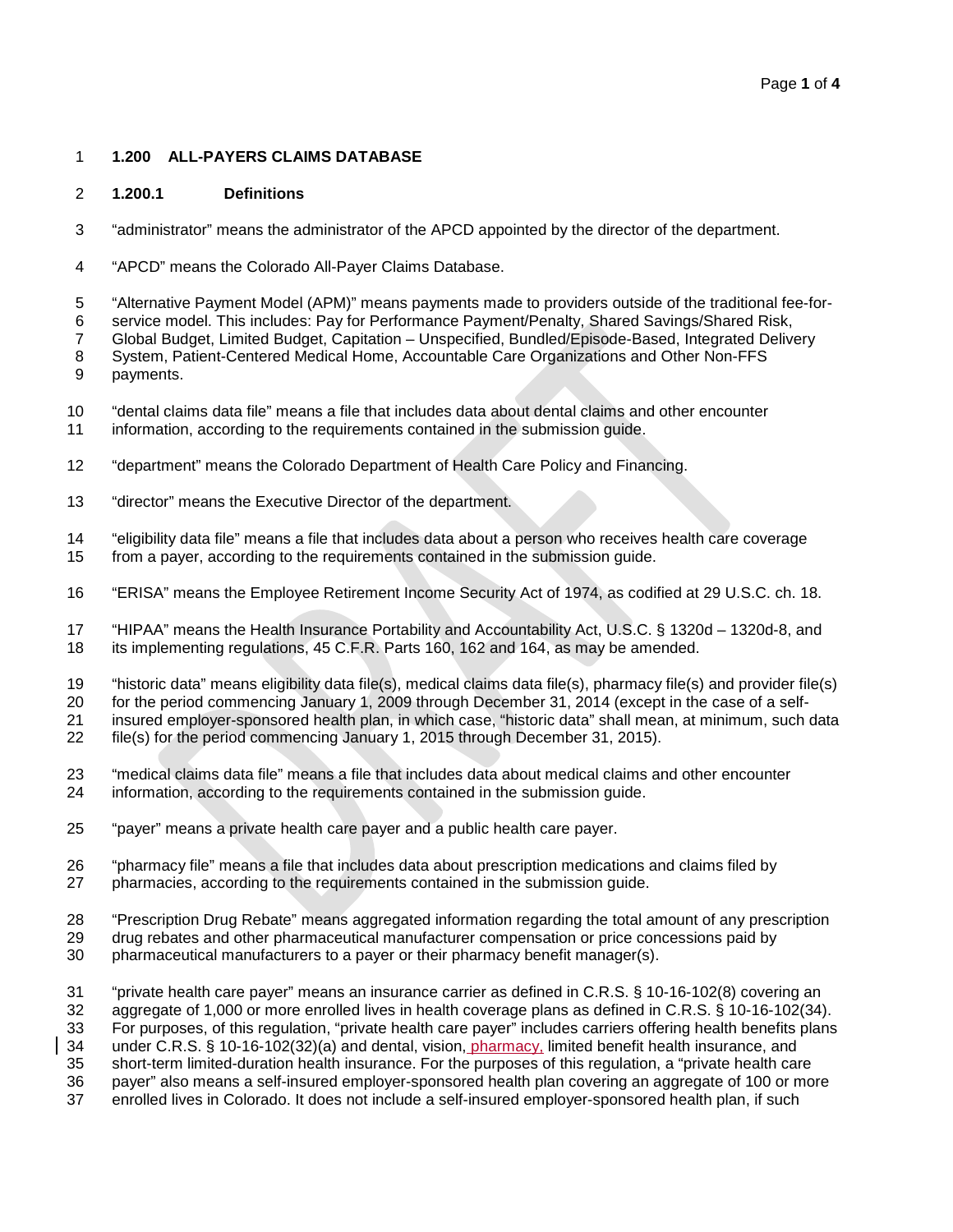#### **1.200 ALL-PAYERS CLAIMS DATABASE**

#### **1.200.1 Definitions**

- "administrator" means the administrator of the APCD appointed by the director of the department.
- "APCD" means the Colorado All-Payer Claims Database.
- "Alternative Payment Model (APM)" means payments made to providers outside of the traditional fee-for-
- service model. This includes: Pay for Performance Payment/Penalty, Shared Savings/Shared Risk,
- Global Budget, Limited Budget, Capitation Unspecified, Bundled/Episode-Based, Integrated Delivery
- System, Patient-Centered Medical Home, Accountable Care Organizations and Other Non-FFS payments.
- "dental claims data file" means a file that includes data about dental claims and other encounter information, according to the requirements contained in the submission guide.
- "department" means the Colorado Department of Health Care Policy and Financing.
- "director" means the Executive Director of the department.
- "eligibility data file" means a file that includes data about a person who receives health care coverage from a payer, according to the requirements contained in the submission guide.
- 
- "ERISA" means the Employee Retirement Income Security Act of 1974, as codified at 29 U.S.C. ch. 18.
- "HIPAA" means the Health Insurance Portability and Accountability Act, U.S.C. § 1320d 1320d-8, and its implementing regulations, 45 C.F.R. Parts 160, 162 and 164, as may be amended.
- "historic data" means eligibility data file(s), medical claims data file(s), pharmacy file(s) and provider file(s)
- for the period commencing January 1, 2009 through December 31, 2014 (except in the case of a self-
- insured employer-sponsored health plan, in which case, "historic data" shall mean, at minimum, such data file(s) for the period commencing January 1, 2015 through December 31, 2015).
- "medical claims data file" means a file that includes data about medical claims and other encounter
- information, according to the requirements contained in the submission guide.
- "payer" means a private health care payer and a public health care payer.
- "pharmacy file" means a file that includes data about prescription medications and claims filed by
- pharmacies, according to the requirements contained in the submission guide.
- "Prescription Drug Rebate" means aggregated information regarding the total amount of any prescription
- drug rebates and other pharmaceutical manufacturer compensation or price concessions paid by
- pharmaceutical manufacturers to a payer or their pharmacy benefit manager(s).
- "private health care payer" means an insurance carrier as defined in C.R.S. § 10-16-102(8) covering an
- aggregate of 1,000 or more enrolled lives in health coverage plans as defined in C.R.S. § 10-16-102(34).
- For purposes, of this regulation, "private health care payer" includes carriers offering health benefits plans

under C.R.S. § 10-16-102(32)(a) and dental, vision, pharmacy, limited benefit health insurance, and

short-term limited-duration health insurance. For the purposes of this regulation, a "private health care

 payer" also means a self-insured employer-sponsored health plan covering an aggregate of 100 or more enrolled lives in Colorado. It does not include a self-insured employer-sponsored health plan, if such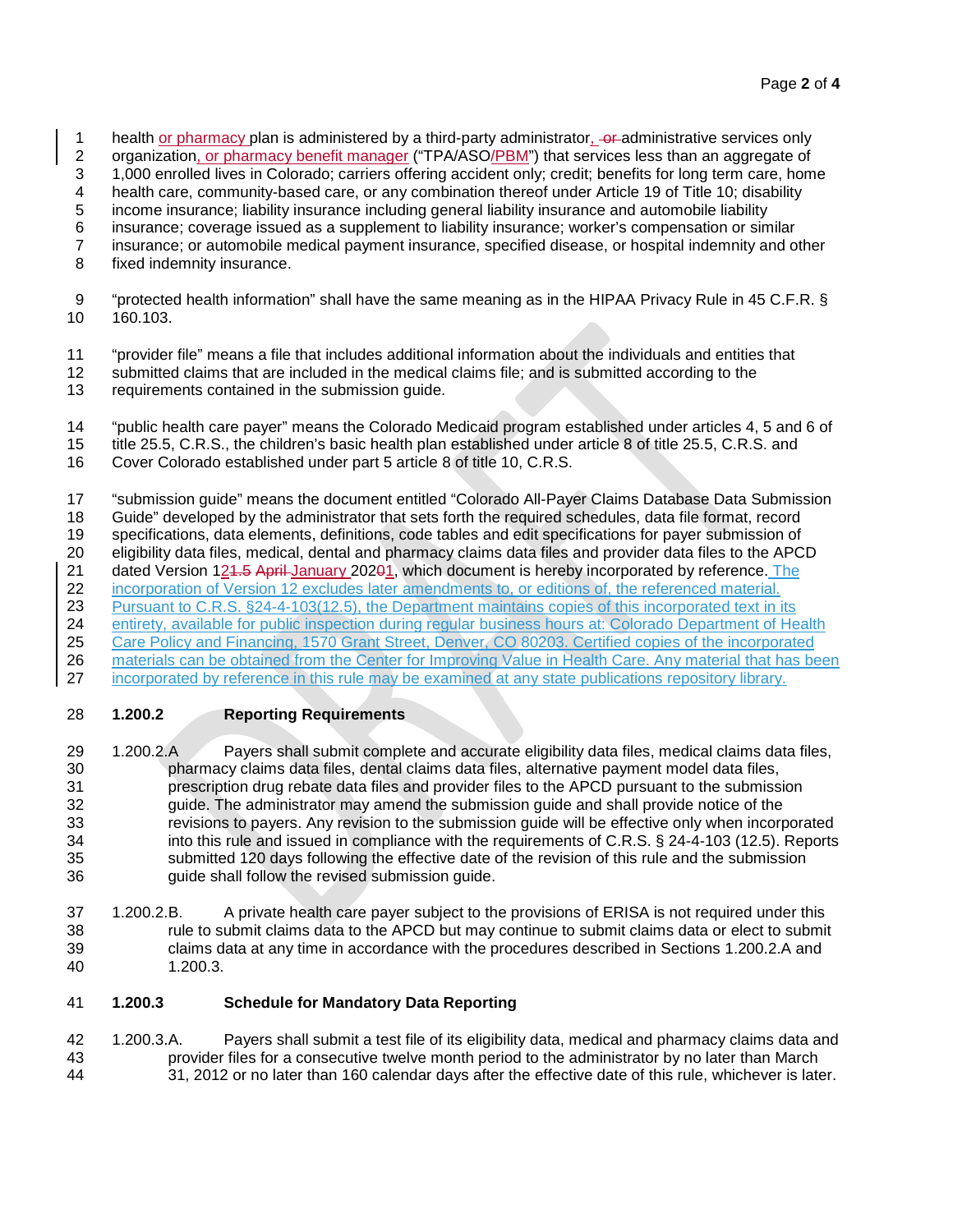- 1 health <u>or pharmacy</u> plan is administered by a third-party administrator, out administrative services only<br>2 organization, or pharmacy benefit manager ("TPA/ASO/PBM") that services less than an aggregate of
- organization, or pharmacy benefit manager ("TPA/ASO/PBM") that services less than an aggregate of
- 1,000 enrolled lives in Colorado; carriers offering accident only; credit; benefits for long term care, home
- health care, community-based care, or any combination thereof under Article 19 of Title 10; disability
- income insurance; liability insurance including general liability insurance and automobile liability
- insurance; coverage issued as a supplement to liability insurance; worker's compensation or similar
- insurance; or automobile medical payment insurance, specified disease, or hospital indemnity and other
- fixed indemnity insurance.
- "protected health information" shall have the same meaning as in the HIPAA Privacy Rule in 45 C.F.R. § 160.103.
- "provider file" means a file that includes additional information about the individuals and entities that
- submitted claims that are included in the medical claims file; and is submitted according to the
- requirements contained in the submission guide.
- "public health care payer" means the Colorado Medicaid program established under articles 4, 5 and 6 of
- title 25.5, C.R.S., the children's basic health plan established under article 8 of title 25.5, C.R.S. and
- Cover Colorado established under part 5 article 8 of title 10, C.R.S.
- "submission guide" means the document entitled "Colorado All-Payer Claims Database Data Submission Guide" developed by the administrator that sets forth the required schedules, data file format, record
- specifications, data elements, definitions, code tables and edit specifications for payer submission of
- eligibility data files, medical, dental and pharmacy claims data files and provider data files to the APCD
- 21 dated Version 124.5 April January 20201, which document is hereby incorporated by reference. The
- incorporation of Version 12 excludes later amendments to, or editions of, the referenced material.
- 23 Pursuant to C.R.S. §24-4-103(12.5), the Department maintains copies of this incorporated text in its
- 24 entirety, available for public inspection during regular business hours at: Colorado Department of Health
- 25 Care Policy and Financing, 1570 Grant Street, Denver, CO 80203. Certified copies of the incorporated 26 materials can be obtained from the Center for Improving Value in Health Care. Any material that has been
- incorporated by reference in this rule may be examined at any state publications repository library.

# **1.200.2 Reporting Requirements**

- 1.200.2.A Payers shall submit complete and accurate eligibility data files, medical claims data files, pharmacy claims data files, dental claims data files, alternative payment model data files, prescription drug rebate data files and provider files to the APCD pursuant to the submission guide. The administrator may amend the submission guide and shall provide notice of the revisions to payers. Any revision to the submission guide will be effective only when incorporated into this rule and issued in compliance with the requirements of C.R.S. § 24-4-103 (12.5). Reports 35 submitted 120 days following the effective date of the revision of this rule and the submission 36 submission quide shall follow the revised submission guide. guide shall follow the revised submission guide.
- 1.200.2.B. A private health care payer subject to the provisions of ERISA is not required under this rule to submit claims data to the APCD but may continue to submit claims data or elect to submit claims data at any time in accordance with the procedures described in Sections 1.200.2.A and 1.200.3.

### **1.200.3 Schedule for Mandatory Data Reporting**

 1.200.3.A. Payers shall submit a test file of its eligibility data, medical and pharmacy claims data and provider files for a consecutive twelve month period to the administrator by no later than March 31, 2012 or no later than 160 calendar days after the effective date of this rule, whichever is later.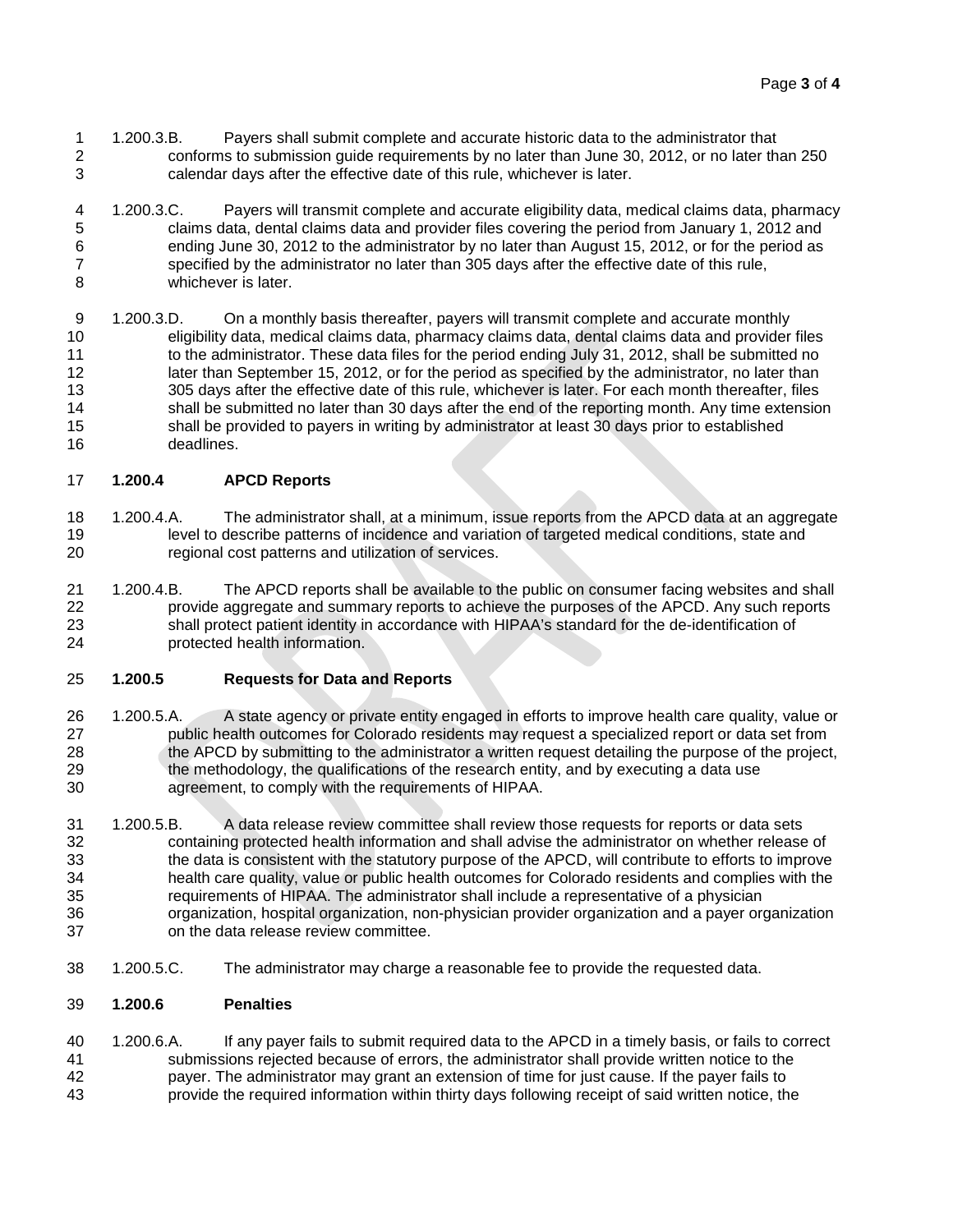- 1.200.3.B. Payers shall submit complete and accurate historic data to the administrator that<br>2 conforms to submission quide requirements by no later than June 30, 2012, or no later the conforms to submission guide requirements by no later than June 30, 2012, or no later than 250 calendar days after the effective date of this rule, whichever is later.
- 1.200.3.C. Payers will transmit complete and accurate eligibility data, medical claims data, pharmacy claims data, dental claims data and provider files covering the period from January 1, 2012 and ending June 30, 2012 to the administrator by no later than August 15, 2012, or for the period as 7 specified by the administrator no later than 305 days after the effective date of this rule,<br>8 whichever is later. whichever is later.
- 1.200.3.D. On a monthly basis thereafter, payers will transmit complete and accurate monthly eligibility data, medical claims data, pharmacy claims data, dental claims data and provider files 11 to the administrator. These data files for the period ending July 31, 2012, shall be submitted no 12 later than September 15, 2012, or for the period as specified by the administrator, no later than 305 days after the effective date of this rule, whichever is later. For each month thereafter, files shall be submitted no later than 30 days after the end of the reporting month. Any time extension shall be provided to payers in writing by administrator at least 30 days prior to established deadlines.

## **1.200.4 APCD Reports**

- 1.200.4.A. The administrator shall, at a minimum, issue reports from the APCD data at an aggregate level to describe patterns of incidence and variation of targeted medical conditions, state and regional cost patterns and utilization of services.
- 1.200.4.B. The APCD reports shall be available to the public on consumer facing websites and shall provide aggregate and summary reports to achieve the purposes of the APCD. Any such reports shall protect patient identity in accordance with HIPAA's standard for the de-identification of protected health information.

### **1.200.5 Requests for Data and Reports**

- 1.200.5.A. A state agency or private entity engaged in efforts to improve health care quality, value or public health outcomes for Colorado residents may request a specialized report or data set from the APCD by submitting to the administrator a written request detailing the purpose of the project, the methodology, the qualifications of the research entity, and by executing a data use agreement, to comply with the requirements of HIPAA.
- 1.200.5.B. A data release review committee shall review those requests for reports or data sets containing protected health information and shall advise the administrator on whether release of the data is consistent with the statutory purpose of the APCD, will contribute to efforts to improve health care quality, value or public health outcomes for Colorado residents and complies with the requirements of HIPAA. The administrator shall include a representative of a physician organization, hospital organization, non-physician provider organization and a payer organization on the data release review committee.
- 1.200.5.C. The administrator may charge a reasonable fee to provide the requested data.

### **1.200.6 Penalties**

 1.200.6.A. If any payer fails to submit required data to the APCD in a timely basis, or fails to correct submissions rejected because of errors, the administrator shall provide written notice to the payer. The administrator may grant an extension of time for just cause. If the payer fails to provide the required information within thirty days following receipt of said written notice, the